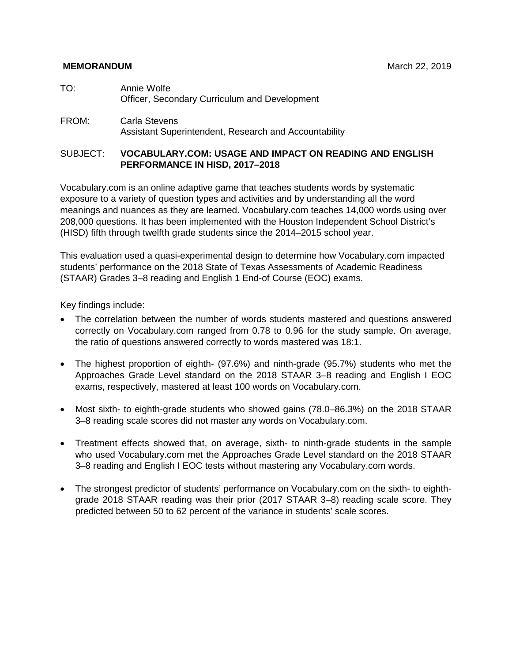#### **MEMORANDUM** MARCH 22, 2019

- TO: Annie Wolfe Officer, Secondary Curriculum and Development
- FROM: Carla Stevens Assistant Superintendent, Research and Accountability

#### SUBJECT: **VOCABULARY.COM: USAGE AND IMPACT ON READING AND ENGLISH PERFORMANCE IN HISD, 2017–2018**

Vocabulary.com is an online adaptive game that teaches students words by systematic exposure to a variety of question types and activities and by understanding all the word meanings and nuances as they are learned. Vocabulary.com teaches 14,000 words using over 208,000 questions. It has been implemented with the Houston Independent School District's (HISD) fifth through twelfth grade students since the 2014–2015 school year.

This evaluation used a quasi-experimental design to determine how Vocabulary.com impacted students' performance on the 2018 State of Texas Assessments of Academic Readiness (STAAR) Grades 3–8 reading and English 1 End-of Course (EOC) exams.

Key findings include:

- The correlation between the number of words students mastered and questions answered correctly on Vocabulary.com ranged from 0.78 to 0.96 for the study sample. On average, the ratio of questions answered correctly to words mastered was 18:1.
- The highest proportion of eighth- (97.6%) and ninth-grade (95.7%) students who met the Approaches Grade Level standard on the 2018 STAAR 3–8 reading and English I EOC exams, respectively, mastered at least 100 words on Vocabulary.com.
- Most sixth- to eighth-grade students who showed gains (78.0–86.3%) on the 2018 STAAR 3–8 reading scale scores did not master any words on Vocabulary.com.
- Treatment effects showed that, on average, sixth- to ninth-grade students in the sample who used Vocabulary.com met the Approaches Grade Level standard on the 2018 STAAR 3–8 reading and English I EOC tests without mastering any Vocabulary.com words.
- The strongest predictor of students' performance on Vocabulary.com on the sixth- to eighthgrade 2018 STAAR reading was their prior (2017 STAAR 3–8) reading scale score. They predicted between 50 to 62 percent of the variance in students' scale scores.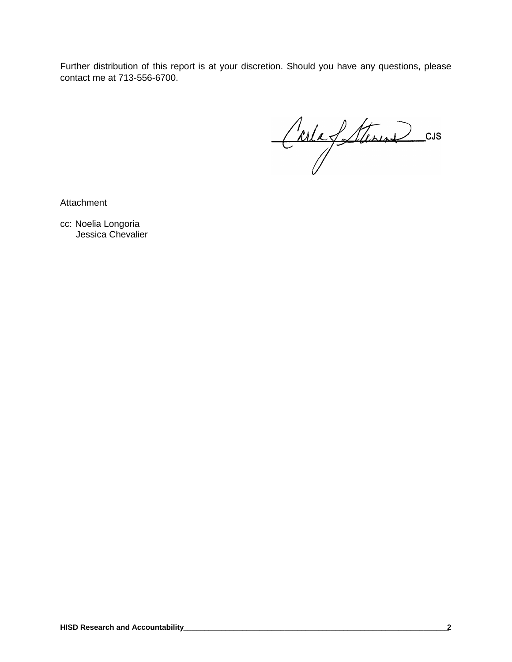Further distribution of this report is at your discretion. Should you have any questions, please contact me at 713-556-6700.

CarlaSterin CUS

Attachment

cc: Noelia Longoria Jessica Chevalier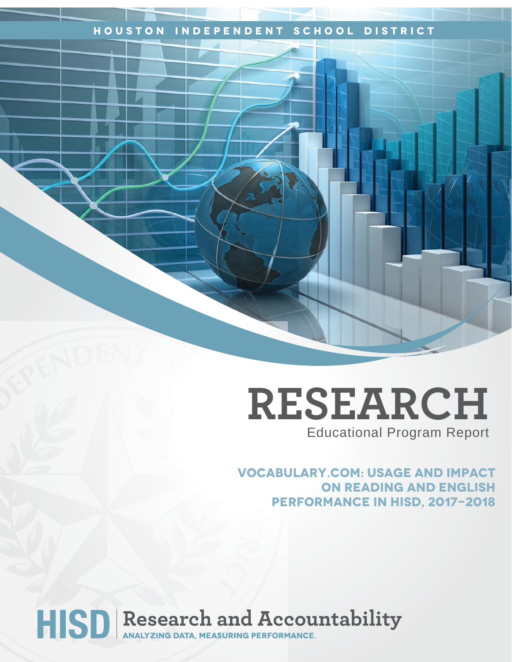## **Houston Independent School District**

## **RESEARCH** Educational Program Report

**Vocabulary.com: USage and impact on reading and english performance in Hisd, 2017-2018**

# HISD Research and Accountability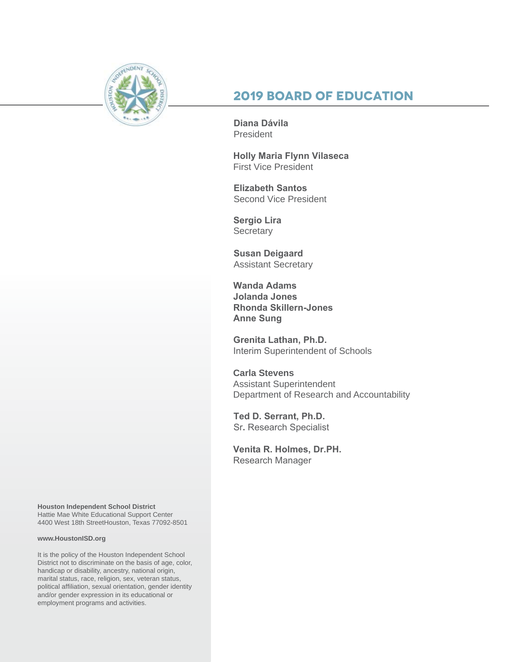

## **2019 Board of Education**

**Diana Dávila**  President

**Holly Maria Flynn Vilaseca** First Vice President

**Elizabeth Santos**  Second Vice President

**Sergio Lira Secretary** 

**Susan Deigaard** Assistant Secretary

**Wanda Adams Jolanda Jones Rhonda Skillern-Jones Anne Sung**

**Grenita Lathan, Ph.D.**  Interim Superintendent of Schools

**Carla Stevens** Assistant Superintendent Department of Research and Accountability

**Ted D. Serrant, Ph.D.** Sr**.** Research Specialist

**Venita R. Holmes, Dr.PH.**  Research Manager

**Houston Independent School District** Hattie Mae White Educational Support Center 4400 West 18th StreetHouston, Texas 77092-8501

#### **www.HoustonISD.org**

It is the policy of the Houston Independent School District not to discriminate on the basis of age, color, handicap or disability, ancestry, national origin, marital status, race, religion, sex, veteran status, political affiliation, sexual orientation, gender identity and/or gender expression in its educational or employment programs and activities.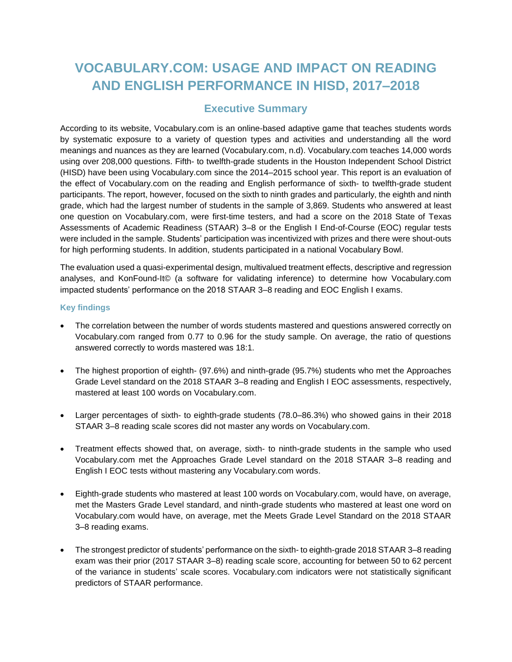## **VOCABULARY.COM: USAGE AND IMPACT ON READING AND ENGLISH PERFORMANCE IN HISD, 2017–2018**

#### **Executive Summary**

According to its website, Vocabulary.com is an online-based adaptive game that teaches students words by systematic exposure to a variety of question types and activities and understanding all the word meanings and nuances as they are learned (Vocabulary.com, n.d). Vocabulary.com teaches 14,000 words using over 208,000 questions. Fifth- to twelfth-grade students in the Houston Independent School District (HISD) have been using Vocabulary.com since the 2014–2015 school year. This report is an evaluation of the effect of Vocabulary.com on the reading and English performance of sixth- to twelfth-grade student participants. The report, however, focused on the sixth to ninth grades and particularly, the eighth and ninth grade, which had the largest number of students in the sample of 3,869. Students who answered at least one question on Vocabulary.com, were first-time testers, and had a score on the 2018 State of Texas Assessments of Academic Readiness (STAAR) 3–8 or the English I End-of-Course (EOC) regular tests were included in the sample. Students' participation was incentivized with prizes and there were shout-outs for high performing students. In addition, students participated in a national Vocabulary Bowl.

The evaluation used a quasi-experimental design, multivalued treatment effects, descriptive and regression analyses, and KonFound-It© (a software for validating inference) to determine how Vocabulary.com impacted students' performance on the 2018 STAAR 3–8 reading and EOC English I exams.

#### **Key findings**

- The correlation between the number of words students mastered and questions answered correctly on Vocabulary.com ranged from 0.77 to 0.96 for the study sample. On average, the ratio of questions answered correctly to words mastered was 18:1.
- The highest proportion of eighth- (97.6%) and ninth-grade (95.7%) students who met the Approaches Grade Level standard on the 2018 STAAR 3–8 reading and English I EOC assessments, respectively, mastered at least 100 words on Vocabulary.com.
- Larger percentages of sixth- to eighth-grade students (78.0–86.3%) who showed gains in their 2018 STAAR 3–8 reading scale scores did not master any words on Vocabulary.com.
- Treatment effects showed that, on average, sixth- to ninth-grade students in the sample who used Vocabulary.com met the Approaches Grade Level standard on the 2018 STAAR 3–8 reading and English I EOC tests without mastering any Vocabulary.com words.
- Eighth-grade students who mastered at least 100 words on Vocabulary.com, would have, on average, met the Masters Grade Level standard, and ninth-grade students who mastered at least one word on Vocabulary.com would have, on average, met the Meets Grade Level Standard on the 2018 STAAR 3–8 reading exams.
- The strongest predictor of students' performance on the sixth- to eighth-grade 2018 STAAR 3–8 reading exam was their prior (2017 STAAR 3–8) reading scale score, accounting for between 50 to 62 percent of the variance in students' scale scores. Vocabulary.com indicators were not statistically significant predictors of STAAR performance.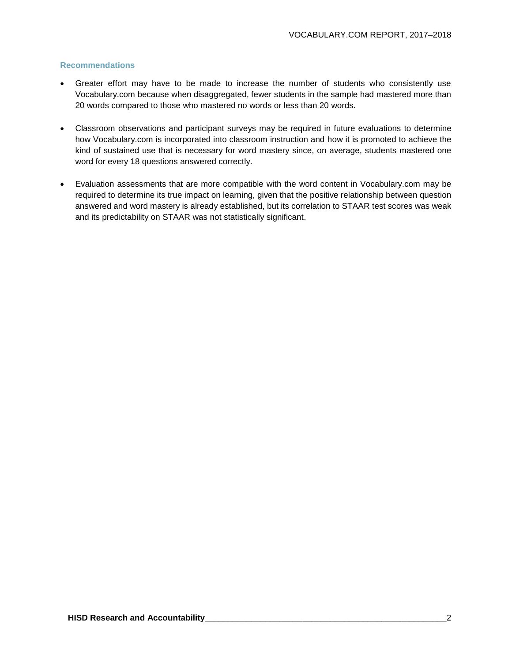#### **Recommendations**

- Greater effort may have to be made to increase the number of students who consistently use Vocabulary.com because when disaggregated, fewer students in the sample had mastered more than 20 words compared to those who mastered no words or less than 20 words.
- Classroom observations and participant surveys may be required in future evaluations to determine how Vocabulary.com is incorporated into classroom instruction and how it is promoted to achieve the kind of sustained use that is necessary for word mastery since, on average, students mastered one word for every 18 questions answered correctly.
- Evaluation assessments that are more compatible with the word content in Vocabulary.com may be required to determine its true impact on learning, given that the positive relationship between question answered and word mastery is already established, but its correlation to STAAR test scores was weak and its predictability on STAAR was not statistically significant.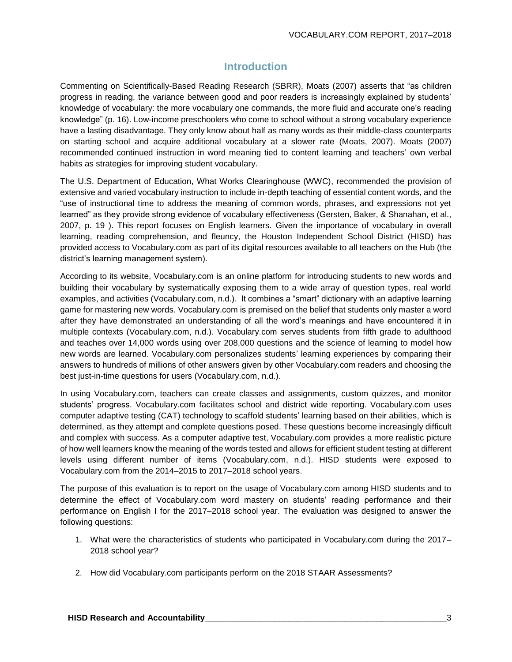### **Introduction**

Commenting on Scientifically-Based Reading Research (SBRR), Moats (2007) asserts that "as children progress in reading, the variance between good and poor readers is increasingly explained by students' knowledge of vocabulary: the more vocabulary one commands, the more fluid and accurate one's reading knowledge" (p. 16). Low-income preschoolers who come to school without a strong vocabulary experience have a lasting disadvantage. They only know about half as many words as their middle-class counterparts on starting school and acquire additional vocabulary at a slower rate (Moats, 2007). Moats (2007) recommended continued instruction in word meaning tied to content learning and teachers' own verbal habits as strategies for improving student vocabulary.

The U.S. Department of Education, What Works Clearinghouse (WWC), recommended the provision of extensive and varied vocabulary instruction to include in-depth teaching of essential content words, and the "use of instructional time to address the meaning of common words, phrases, and expressions not yet learned" as they provide strong evidence of vocabulary effectiveness (Gersten, Baker, & Shanahan, et al., 2007, p. 19 ). This report focuses on English learners. Given the importance of vocabulary in overall learning, reading comprehension, and fleuncy, the Houston Independent School District (HISD) has provided access to Vocabulary.com as part of its digital resources available to all teachers on the Hub (the district's learning management system).

According to its website, Vocabulary.com is an online platform for introducing students to new words and building their vocabulary by systematically exposing them to a wide array of question types, real world examples, and activities (Vocabulary.com, n.d.). It combines a "smart" dictionary with an adaptive learning game for mastering new words. Vocabulary.com is premised on the belief that students only master a word after they have demonstrated an understanding of all the word's meanings and have encountered it in multiple contexts (Vocabulary.com, n.d.). Vocabulary.com serves students from fifth grade to adulthood and teaches over 14,000 words using over 208,000 questions and the science of learning to model how new words are learned. Vocabulary.com personalizes students' learning experiences by comparing their answers to hundreds of millions of other answers given by other Vocabulary.com readers and choosing the best just-in-time questions for users (Vocabulary.com, n.d.).

In using Vocabulary.com, teachers can create classes and assignments, custom quizzes, and monitor students' progress. Vocabulary.com facilitates school and district wide reporting. Vocabulary.com uses computer adaptive testing (CAT) technology to scaffold students' learning based on their abilities, which is determined, as they attempt and complete questions posed. These questions become increasingly difficult and complex with success. As a computer adaptive test, Vocabulary.com provides a more realistic picture of how well learners know the meaning of the words tested and allows for efficient student testing at different levels using different number of items (Vocabulary.com, n.d.). HISD students were exposed to Vocabulary.com from the 2014–2015 to 2017–2018 school years.

The purpose of this evaluation is to report on the usage of Vocabulary.com among HISD students and to determine the effect of Vocabulary.com word mastery on students' reading performance and their performance on English I for the 2017–2018 school year. The evaluation was designed to answer the following questions:

- 1. What were the characteristics of students who participated in Vocabulary.com during the 2017– 2018 school year?
- 2. How did Vocabulary.com participants perform on the 2018 STAAR Assessments?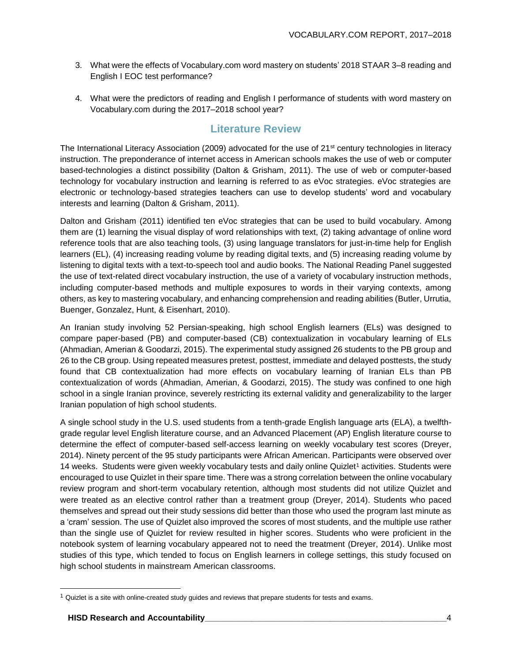- 3. What were the effects of Vocabulary.com word mastery on students' 2018 STAAR 3–8 reading and English I EOC test performance?
- 4. What were the predictors of reading and English I performance of students with word mastery on Vocabulary.com during the 2017–2018 school year?

#### **Literature Review**

The International Literacy Association (2009) advocated for the use of 21<sup>st</sup> century technologies in literacy instruction. The preponderance of internet access in American schools makes the use of web or computer based-technologies a distinct possibility (Dalton & Grisham, 2011). The use of web or computer-based technology for vocabulary instruction and learning is referred to as eVoc strategies. eVoc strategies are electronic or technology-based strategies teachers can use to develop students' word and vocabulary interests and learning (Dalton & Grisham, 2011).

Dalton and Grisham (2011) identified ten eVoc strategies that can be used to build vocabulary. Among them are (1) learning the visual display of word relationships with text, (2) taking advantage of online word reference tools that are also teaching tools, (3) using language translators for just-in-time help for English learners (EL), (4) increasing reading volume by reading digital texts, and (5) increasing reading volume by listening to digital texts with a text-to-speech tool and audio books. The National Reading Panel suggested the use of text-related direct vocabulary instruction, the use of a variety of vocabulary instruction methods, including computer-based methods and multiple exposures to words in their varying contexts, among others, as key to mastering vocabulary, and enhancing comprehension and reading abilities (Butler, Urrutia, Buenger, Gonzalez, Hunt, & Eisenhart, 2010).

An Iranian study involving 52 Persian-speaking, high school English learners (ELs) was designed to compare paper-based (PB) and computer-based (CB) contextualization in vocabulary learning of ELs (Ahmadian, Amerian & Goodarzi, 2015). The experimental study assigned 26 students to the PB group and 26 to the CB group. Using repeated measures pretest, posttest, immediate and delayed posttests, the study found that CB contextualization had more effects on vocabulary learning of Iranian ELs than PB contextualization of words (Ahmadian, Amerian, & Goodarzi, 2015). The study was confined to one high school in a single Iranian province, severely restricting its external validity and generalizability to the larger Iranian population of high school students.

A single school study in the U.S. used students from a tenth-grade English language arts (ELA), a twelfthgrade regular level English literature course, and an Advanced Placement (AP) English literature course to determine the effect of computer-based self-access learning on weekly vocabulary test scores (Dreyer, 2014). Ninety percent of the 95 study participants were African American. Participants were observed over 14 weeks. Students were given weekly vocabulary tests and daily online Quizlet<sup>1</sup> activities. Students were encouraged to use Quizlet in their spare time. There was a strong correlation between the online vocabulary review program and short-term vocabulary retention, although most students did not utilize Quizlet and were treated as an elective control rather than a treatment group (Dreyer, 2014). Students who paced themselves and spread out their study sessions did better than those who used the program last minute as a 'cram' session. The use of Quizlet also improved the scores of most students, and the multiple use rather than the single use of Quizlet for review resulted in higher scores. Students who were proficient in the notebook system of learning vocabulary appeared not to need the treatment (Dreyer, 2014). Unlike most studies of this type, which tended to focus on English learners in college settings, this study focused on high school students in mainstream American classrooms.

l

 $1$  Quizlet is a site with online-created study guides and reviews that prepare students for tests and exams.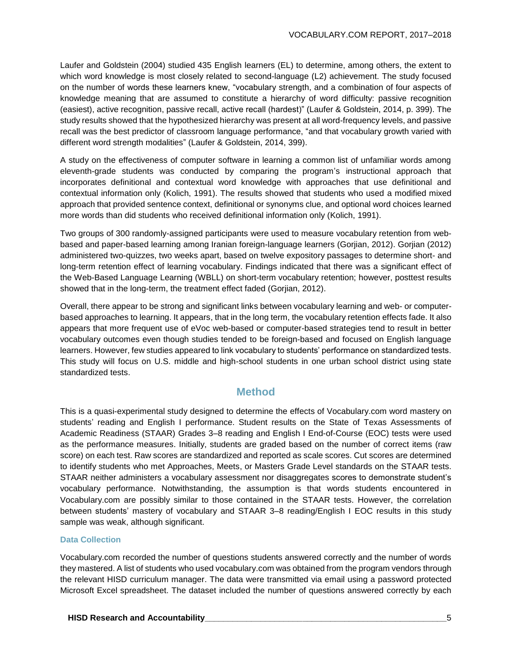Laufer and Goldstein (2004) studied 435 English learners (EL) to determine, among others, the extent to which word knowledge is most closely related to second-language (L2) achievement. The study focused on the number of words these learners knew, "vocabulary strength, and a combination of four aspects of knowledge meaning that are assumed to constitute a hierarchy of word difficulty: passive recognition (easiest), active recognition, passive recall, active recall (hardest)" (Laufer & Goldstein, 2014, p. 399). The study results showed that the hypothesized hierarchy was present at all word-frequency levels, and passive recall was the best predictor of classroom language performance, "and that vocabulary growth varied with different word strength modalities" (Laufer & Goldstein, 2014, 399).

A study on the effectiveness of computer software in learning a common list of unfamiliar words among eleventh-grade students was conducted by comparing the program's instructional approach that incorporates definitional and contextual word knowledge with approaches that use definitional and contextual information only (Kolich, 1991). The results showed that students who used a modified mixed approach that provided sentence context, definitional or synonyms clue, and optional word choices learned more words than did students who received definitional information only (Kolich, 1991).

Two groups of 300 randomly-assigned participants were used to measure vocabulary retention from webbased and paper-based learning among Iranian foreign-language learners (Gorjian, 2012). Gorjian (2012) administered two-quizzes, two weeks apart, based on twelve expository passages to determine short- and long-term retention effect of learning vocabulary. Findings indicated that there was a significant effect of the Web-Based Language Learning (WBLL) on short-term vocabulary retention; however, posttest results showed that in the long-term, the treatment effect faded (Gorjian, 2012).

Overall, there appear to be strong and significant links between vocabulary learning and web- or computerbased approaches to learning. It appears, that in the long term, the vocabulary retention effects fade. It also appears that more frequent use of eVoc web-based or computer-based strategies tend to result in better vocabulary outcomes even though studies tended to be foreign-based and focused on English language learners. However, few studies appeared to link vocabulary to students' performance on standardized tests. This study will focus on U.S. middle and high-school students in one urban school district using state standardized tests.

#### **Method**

This is a quasi-experimental study designed to determine the effects of Vocabulary.com word mastery on students' reading and English I performance. Student results on the State of Texas Assessments of Academic Readiness (STAAR) Grades 3–8 reading and English I End-of-Course (EOC) tests were used as the performance measures. Initially, students are graded based on the number of correct items (raw score) on each test. Raw scores are standardized and reported as scale scores. Cut scores are determined to identify students who met Approaches, Meets, or Masters Grade Level standards on the STAAR tests. STAAR neither administers a vocabulary assessment nor disaggregates scores to demonstrate student's vocabulary performance. Notwithstanding, the assumption is that words students encountered in Vocabulary.com are possibly similar to those contained in the STAAR tests. However, the correlation between students' mastery of vocabulary and STAAR 3–8 reading/English I EOC results in this study sample was weak, although significant.

#### **Data Collection**

Vocabulary.com recorded the number of questions students answered correctly and the number of words they mastered. A list of students who used vocabulary.com was obtained from the program vendors through the relevant HISD curriculum manager. The data were transmitted via email using a password protected Microsoft Excel spreadsheet. The dataset included the number of questions answered correctly by each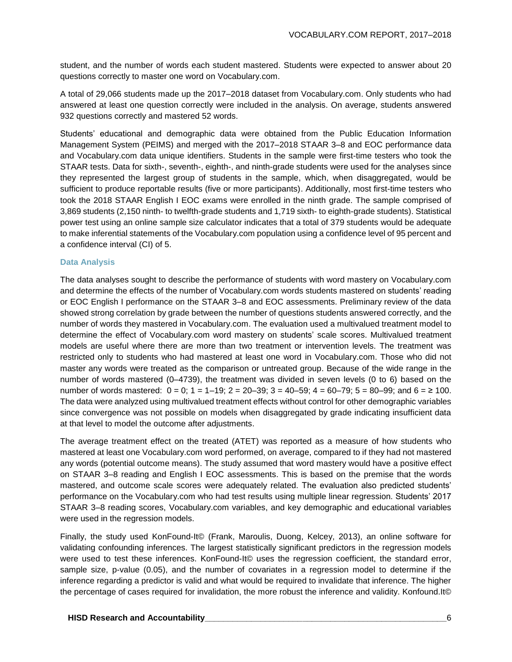student, and the number of words each student mastered. Students were expected to answer about 20 questions correctly to master one word on Vocabulary.com.

A total of 29,066 students made up the 2017–2018 dataset from Vocabulary.com. Only students who had answered at least one question correctly were included in the analysis. On average, students answered 932 questions correctly and mastered 52 words.

Students' educational and demographic data were obtained from the Public Education Information Management System (PEIMS) and merged with the 2017–2018 STAAR 3–8 and EOC performance data and Vocabulary.com data unique identifiers. Students in the sample were first-time testers who took the STAAR tests. Data for sixth-, seventh-, eighth-, and ninth-grade students were used for the analyses since they represented the largest group of students in the sample, which, when disaggregated, would be sufficient to produce reportable results (five or more participants). Additionally, most first-time testers who took the 2018 STAAR English I EOC exams were enrolled in the ninth grade. The sample comprised of 3,869 students (2,150 ninth- to twelfth-grade students and 1,719 sixth- to eighth-grade students). Statistical power test using an online sample size calculator indicates that a total of 379 students would be adequate to make inferential statements of the Vocabulary.com population using a confidence level of 95 percent and a confidence interval (CI) of 5.

#### **Data Analysis**

The data analyses sought to describe the performance of students with word mastery on Vocabulary.com and determine the effects of the number of Vocabulary.com words students mastered on students' reading or EOC English I performance on the STAAR 3–8 and EOC assessments. Preliminary review of the data showed strong correlation by grade between the number of questions students answered correctly, and the number of words they mastered in Vocabulary.com. The evaluation used a multivalued treatment model to determine the effect of Vocabulary.com word mastery on students' scale scores. Multivalued treatment models are useful where there are more than two treatment or intervention levels. The treatment was restricted only to students who had mastered at least one word in Vocabulary.com. Those who did not master any words were treated as the comparison or untreated group. Because of the wide range in the number of words mastered (0–4739), the treatment was divided in seven levels (0 to 6) based on the number of words mastered:  $0 = 0$ ;  $1 = 1-19$ ;  $2 = 20-39$ ;  $3 = 40-59$ ;  $4 = 60-79$ ;  $5 = 80-99$ ; and  $6 = 2100$ . The data were analyzed using multivalued treatment effects without control for other demographic variables since convergence was not possible on models when disaggregated by grade indicating insufficient data at that level to model the outcome after adjustments.

The average treatment effect on the treated (ATET) was reported as a measure of how students who mastered at least one Vocabulary.com word performed, on average, compared to if they had not mastered any words (potential outcome means). The study assumed that word mastery would have a positive effect on STAAR 3–8 reading and English I EOC assessments. This is based on the premise that the words mastered, and outcome scale scores were adequately related. The evaluation also predicted students' performance on the Vocabulary.com who had test results using multiple linear regression. Students' 2017 STAAR 3–8 reading scores, Vocabulary.com variables, and key demographic and educational variables were used in the regression models.

Finally, the study used KonFound-It© (Frank, Maroulis, Duong, Kelcey, 2013), an online software for validating confounding inferences. The largest statistically significant predictors in the regression models were used to test these inferences. KonFound-It© uses the regression coefficient, the standard error, sample size, p-value (0.05), and the number of covariates in a regression model to determine if the inference regarding a predictor is valid and what would be required to invalidate that inference. The higher the percentage of cases required for invalidation, the more robust the inference and validity. Konfound.It©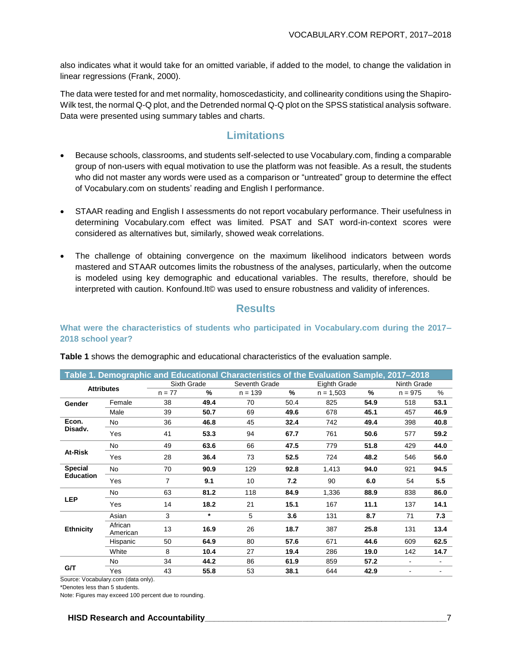also indicates what it would take for an omitted variable, if added to the model, to change the validation in linear regressions (Frank, 2000).

The data were tested for and met normality, homoscedasticity, and collinearity conditions using the Shapiro-Wilk test, the normal Q-Q plot, and the Detrended normal Q-Q plot on the SPSS statistical analysis software. Data were presented using summary tables and charts.

#### **Limitations**

- Because schools, classrooms, and students self-selected to use Vocabulary.com, finding a comparable group of non-users with equal motivation to use the platform was not feasible. As a result, the students who did not master any words were used as a comparison or "untreated" group to determine the effect of Vocabulary.com on students' reading and English I performance.
- STAAR reading and English I assessments do not report vocabulary performance. Their usefulness in determining Vocabulary.com effect was limited. PSAT and SAT word-in-context scores were considered as alternatives but, similarly, showed weak correlations.
- The challenge of obtaining convergence on the maximum likelihood indicators between words mastered and STAAR outcomes limits the robustness of the analyses, particularly, when the outcome is modeled using key demographic and educational variables. The results, therefore, should be interpreted with caution. Konfound.It© was used to ensure robustness and validity of inferences.

#### **Results**

#### **What were the characteristics of students who participated in Vocabulary.com during the 2017– 2018 school year?**

|                  |                     |             |               | Table 1. Demographic and Educational Characteristics of the Evaluation Sample, 2017-2018 |      |              |               |             |               |
|------------------|---------------------|-------------|---------------|------------------------------------------------------------------------------------------|------|--------------|---------------|-------------|---------------|
|                  | <b>Attributes</b>   | Sixth Grade |               | Seventh Grade                                                                            |      | Eighth Grade |               | Ninth Grade |               |
|                  |                     | $n = 77$    | $\frac{0}{2}$ | $n = 139$                                                                                | $\%$ | $n = 1,503$  | $\frac{9}{6}$ | $n = 975$   | $\frac{0}{0}$ |
| Gender           | Female              | 38          | 49.4          | 70                                                                                       | 50.4 | 825          | 54.9          | 518         | 53.1          |
|                  | Male                | 39          | 50.7          | 69                                                                                       | 49.6 | 678          | 45.1          | 457         | 46.9          |
| Econ.            | No.                 | 36          | 46.8          | 45                                                                                       | 32.4 | 742          | 49.4          | 398         | 40.8          |
| Disadv.          | Yes                 | 41          | 53.3          | 94                                                                                       | 67.7 | 761          | 50.6          | 577         | 59.2          |
|                  | No                  | 49          | 63.6          | 66                                                                                       | 47.5 | 779          | 51.8          | 429         | 44.0          |
| At-Risk          | Yes                 | 28          | 36.4          | 73                                                                                       | 52.5 | 724          | 48.2          | 546         | 56.0          |
| <b>Special</b>   | No.                 | 70          | 90.9          | 129                                                                                      | 92.8 | 1.413        | 94.0          | 921         | 94.5          |
| <b>Education</b> | Yes                 | 7           | 9.1           | 10                                                                                       | 7.2  | 90           | 6.0           | 54          | 5.5           |
|                  | No.                 | 63          | 81.2          | 118                                                                                      | 84.9 | 1,336        | 88.9          | 838         | 86.0          |
| <b>LEP</b>       | Yes                 | 14          | 18.2          | 21                                                                                       | 15.1 | 167          | 11.1          | 137         | 14.1          |
|                  | Asian               | 3           | $\star$       | 5                                                                                        | 3.6  | 131          | 8.7           | 71          | 7.3           |
| <b>Ethnicity</b> | African<br>American | 13          | 16.9          | 26                                                                                       | 18.7 | 387          | 25.8          | 131         | 13.4          |
|                  | Hispanic            | 50          | 64.9          | 80                                                                                       | 57.6 | 671          | 44.6          | 609         | 62.5          |
|                  | White               | 8           | 10.4          | 27                                                                                       | 19.4 | 286          | 19.0          | 142         | 14.7          |
|                  | No                  | 34          | 44.2          | 86                                                                                       | 61.9 | 859          | 57.2          | ٠           | ٠             |
| G/T              | Yes                 | 43          | 55.8          | 53                                                                                       | 38.1 | 644          | 42.9          |             |               |

**Table 1** shows the demographic and educational characteristics of the evaluation sample.

Source: Vocabulary.com (data only).

\*Denotes less than 5 students.

Note: Figures may exceed 100 percent due to rounding.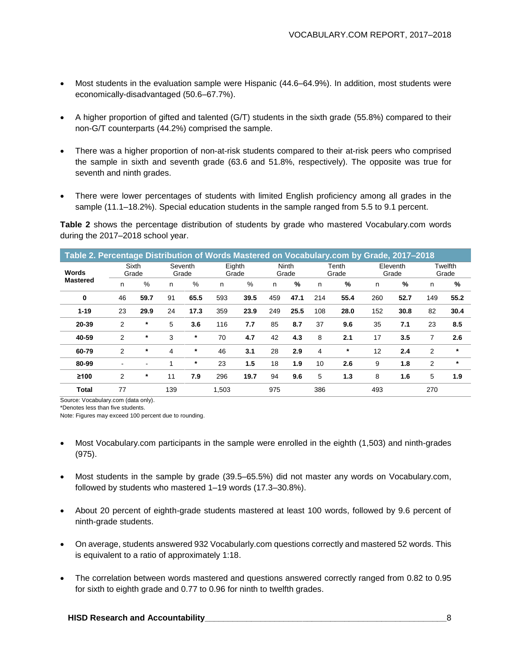- Most students in the evaluation sample were Hispanic (44.6–64.9%). In addition, most students were economically-disadvantaged (50.6–67.7%).
- A higher proportion of gifted and talented (G/T) students in the sixth grade (55.8%) compared to their non-G/T counterparts (44.2%) comprised the sample.
- There was a higher proportion of non-at-risk students compared to their at-risk peers who comprised the sample in sixth and seventh grade (63.6 and 51.8%, respectively). The opposite was true for seventh and ninth grades.
- There were lower percentages of students with limited English proficiency among all grades in the sample (11.1–18.2%). Special education students in the sample ranged from 5.5 to 9.1 percent.

**Table 2** shows the percentage distribution of students by grade who mastered Vocabulary.com words during the 2017–2018 school year.

| Table 2. Percentage Distribution of Words Mastered on Vocabulary.com by Grade, 2017–2018 |                |                |     |                                     |       |      |                |      |     |                |     |                   |                |                  |
|------------------------------------------------------------------------------------------|----------------|----------------|-----|-------------------------------------|-------|------|----------------|------|-----|----------------|-----|-------------------|----------------|------------------|
| Words                                                                                    |                | Sixth<br>Grade |     | Seventh<br>Eighth<br>Grade<br>Grade |       |      | Ninth<br>Grade |      |     | Tenth<br>Grade |     | Eleventh<br>Grade |                | Twelfth<br>Grade |
| <b>Mastered</b>                                                                          | n              | %              | n   | $\frac{0}{0}$                       | n     | $\%$ | n              | $\%$ | n   | %              | n   | %                 | n              | %                |
| 0                                                                                        | 46             | 59.7           | 91  | 65.5                                | 593   | 39.5 | 459            | 47.1 | 214 | 55.4           | 260 | 52.7              | 149            | 55.2             |
| $1 - 19$                                                                                 | 23             | 29.9           | 24  | 17.3                                | 359   | 23.9 | 249            | 25.5 | 108 | 28.0           | 152 | 30.8              | 82             | 30.4             |
| 20-39                                                                                    | $\overline{2}$ | $\ast$         | 5   | 3.6                                 | 116   | 7.7  | 85             | 8.7  | 37  | 9.6            | 35  | 7.1               | 23             | 8.5              |
| 40-59                                                                                    | $\overline{2}$ | $^\ast$        | 3   | $\ast$                              | 70    | 4.7  | 42             | 4.3  | 8   | 2.1            | 17  | 3.5               | 7              | 2.6              |
| 60-79                                                                                    | $\overline{2}$ | *              | 4   | $^\ast$                             | 46    | 3.1  | 28             | 2.9  | 4   | $\ast$         | 12  | 2.4               | $\overline{2}$ | $\star$          |
| 80-99                                                                                    | ۰              |                | 1   | $^\ast$                             | 23    | 1.5  | 18             | 1.9  | 10  | 2.6            | 9   | 1.8               | 2              | $\ast$           |
| ≥100                                                                                     | 2              | *              | 11  | 7.9                                 | 296   | 19.7 | 94             | 9.6  | 5   | 1.3            | 8   | 1.6               | 5              | 1.9              |
| <b>Total</b>                                                                             | 77             |                | 139 |                                     | 1,503 |      | 975            |      | 386 |                | 493 |                   | 270            |                  |

Source: Vocabulary.com (data only).

\*Denotes less than five students.

Note: Figures may exceed 100 percent due to rounding.

- Most Vocabulary.com participants in the sample were enrolled in the eighth (1,503) and ninth-grades (975).
- Most students in the sample by grade (39.5–65.5%) did not master any words on Vocabulary.com, followed by students who mastered 1–19 words (17.3–30.8%).
- About 20 percent of eighth-grade students mastered at least 100 words, followed by 9.6 percent of ninth-grade students.
- On average, students answered 932 Vocabularly.com questions correctly and mastered 52 words. This is equivalent to a ratio of approximately 1:18.
- The correlation between words mastered and questions answered correctly ranged from 0.82 to 0.95 for sixth to eighth grade and 0.77 to 0.96 for ninth to twelfth grades.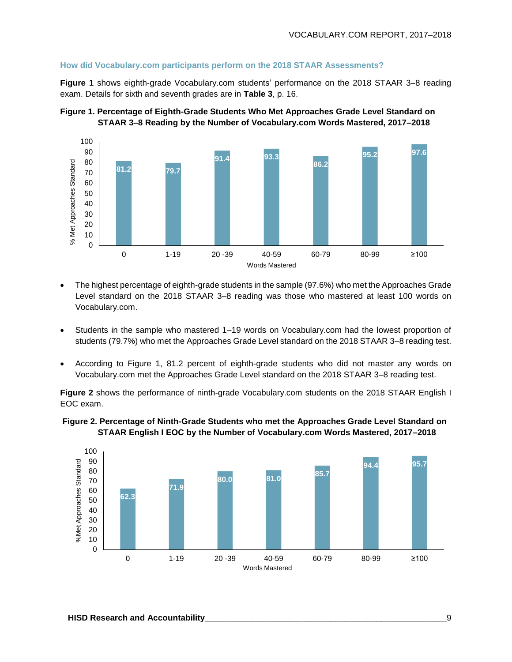#### **How did Vocabulary.com participants perform on the 2018 STAAR Assessments?**

**Figure 1** shows eighth-grade Vocabulary.com students' performance on the 2018 STAAR 3–8 reading exam. Details for sixth and seventh grades are in **Table 3**, p. 16.





- The highest percentage of eighth-grade students in the sample (97.6%) who met the Approaches Grade Level standard on the 2018 STAAR 3–8 reading was those who mastered at least 100 words on Vocabulary.com.
- Students in the sample who mastered 1–19 words on Vocabulary.com had the lowest proportion of students (79.7%) who met the Approaches Grade Level standard on the 2018 STAAR 3–8 reading test.
- According to Figure 1, 81.2 percent of eighth-grade students who did not master any words on Vocabulary.com met the Approaches Grade Level standard on the 2018 STAAR 3–8 reading test.

**Figure 2** shows the performance of ninth-grade Vocabulary.com students on the 2018 STAAR English I EOC exam.



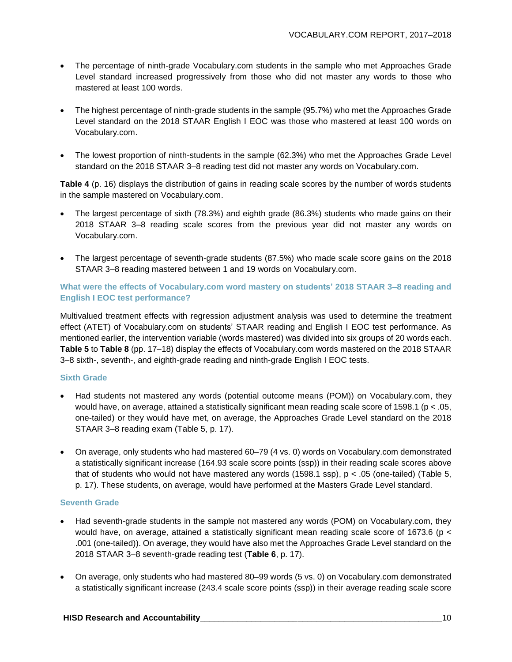- The percentage of ninth-grade Vocabulary.com students in the sample who met Approaches Grade Level standard increased progressively from those who did not master any words to those who mastered at least 100 words.
- The highest percentage of ninth-grade students in the sample (95.7%) who met the Approaches Grade Level standard on the 2018 STAAR English I EOC was those who mastered at least 100 words on Vocabulary.com.
- The lowest proportion of ninth-students in the sample (62.3%) who met the Approaches Grade Level standard on the 2018 STAAR 3–8 reading test did not master any words on Vocabulary.com.

**Table 4** (p. 16) displays the distribution of gains in reading scale scores by the number of words students in the sample mastered on Vocabulary.com.

- The largest percentage of sixth (78.3%) and eighth grade (86.3%) students who made gains on their 2018 STAAR 3–8 reading scale scores from the previous year did not master any words on Vocabulary.com.
- The largest percentage of seventh-grade students (87.5%) who made scale score gains on the 2018 STAAR 3–8 reading mastered between 1 and 19 words on Vocabulary.com.

**What were the effects of Vocabulary.com word mastery on students' 2018 STAAR 3–8 reading and English I EOC test performance?**

Multivalued treatment effects with regression adjustment analysis was used to determine the treatment effect (ATET) of Vocabulary.com on students' STAAR reading and English I EOC test performance. As mentioned earlier, the intervention variable (words mastered) was divided into six groups of 20 words each. **Table 5** to **Table 8** (pp. 17–18) display the effects of Vocabulary.com words mastered on the 2018 STAAR 3–8 sixth-, seventh-, and eighth-grade reading and ninth-grade English I EOC tests.

#### **Sixth Grade**

- Had students not mastered any words (potential outcome means (POM)) on Vocabulary.com, they would have, on average, attained a statistically significant mean reading scale score of 1598.1 ( $p < 0.05$ , one-tailed) or they would have met, on average, the Approaches Grade Level standard on the 2018 STAAR 3–8 reading exam (Table 5, p. 17).
- On average, only students who had mastered 60–79 (4 vs. 0) words on Vocabulary.com demonstrated a statistically significant increase (164.93 scale score points (ssp)) in their reading scale scores above that of students who would not have mastered any words (1598.1 ssp),  $p < .05$  (one-tailed) (Table 5, p. 17). These students, on average, would have performed at the Masters Grade Level standard.

#### **Seventh Grade**

- Had seventh-grade students in the sample not mastered any words (POM) on Vocabulary.com, they would have, on average, attained a statistically significant mean reading scale score of 1673.6 (p < .001 (one-tailed)). On average, they would have also met the Approaches Grade Level standard on the 2018 STAAR 3–8 seventh-grade reading test (**Table 6**, p. 17).
- On average, only students who had mastered 80–99 words (5 vs. 0) on Vocabulary.com demonstrated a statistically significant increase (243.4 scale score points (ssp)) in their average reading scale score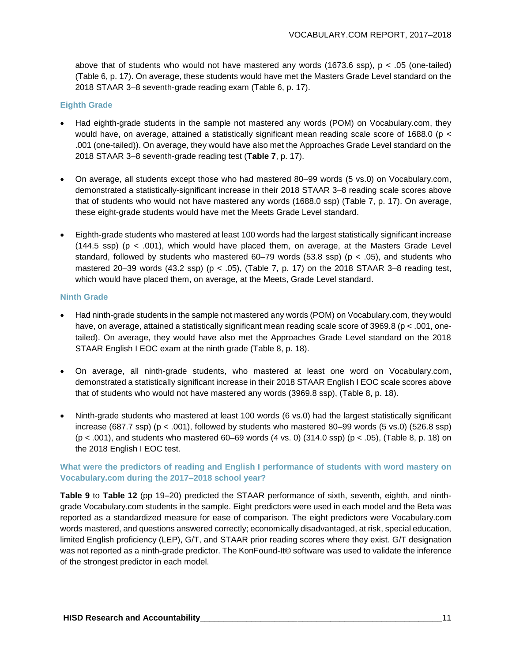above that of students who would not have mastered any words  $(1673.6 \text{ ssp})$ ,  $p < .05$  (one-tailed) (Table 6, p. 17). On average, these students would have met the Masters Grade Level standard on the 2018 STAAR 3–8 seventh-grade reading exam (Table 6, p. 17).

#### **Eighth Grade**

- Had eighth-grade students in the sample not mastered any words (POM) on Vocabulary.com, they would have, on average, attained a statistically significant mean reading scale score of 1688.0 (p < .001 (one-tailed)). On average, they would have also met the Approaches Grade Level standard on the 2018 STAAR 3–8 seventh-grade reading test (**Table 7**, p. 17).
- On average, all students except those who had mastered 80–99 words (5 vs.0) on Vocabulary.com, demonstrated a statistically-significant increase in their 2018 STAAR 3–8 reading scale scores above that of students who would not have mastered any words (1688.0 ssp) (Table 7, p. 17). On average, these eight-grade students would have met the Meets Grade Level standard.
- Eighth-grade students who mastered at least 100 words had the largest statistically significant increase  $(144.5 \text{ ssp})$  (p < .001), which would have placed them, on average, at the Masters Grade Level standard, followed by students who mastered  $60-79$  words (53.8 ssp) ( $p < .05$ ), and students who mastered 20–39 words  $(43.2 \text{ ssp})$  (p < .05), (Table 7, p. 17) on the 2018 STAAR 3–8 reading test, which would have placed them, on average, at the Meets, Grade Level standard.

#### **Ninth Grade**

- Had ninth-grade students in the sample not mastered any words (POM) on Vocabulary.com, they would have, on average, attained a statistically significant mean reading scale score of 3969.8 (p < .001, onetailed). On average, they would have also met the Approaches Grade Level standard on the 2018 STAAR English I EOC exam at the ninth grade (Table 8, p. 18).
- On average, all ninth-grade students, who mastered at least one word on Vocabulary.com, demonstrated a statistically significant increase in their 2018 STAAR English I EOC scale scores above that of students who would not have mastered any words (3969.8 ssp), (Table 8, p. 18).
- Ninth-grade students who mastered at least 100 words (6 vs.0) had the largest statistically significant increase (687.7 ssp) ( $p < .001$ ), followed by students who mastered 80–99 words (5 vs.0) (526.8 ssp) (p < .001), and students who mastered 60–69 words (4 vs. 0) (314.0 ssp) (p < .05), (Table 8, p. 18) on the 2018 English I EOC test.

#### **What were the predictors of reading and English I performance of students with word mastery on Vocabulary.com during the 2017–2018 school year?**

**Table 9** to **Table 12** (pp 19–20) predicted the STAAR performance of sixth, seventh, eighth, and ninthgrade Vocabulary.com students in the sample. Eight predictors were used in each model and the Beta was reported as a standardized measure for ease of comparison. The eight predictors were Vocabulary.com words mastered, and questions answered correctly; economically disadvantaged, at risk, special education, limited English proficiency (LEP), G/T, and STAAR prior reading scores where they exist. G/T designation was not reported as a ninth-grade predictor. The KonFound-It© software was used to validate the inference of the strongest predictor in each model.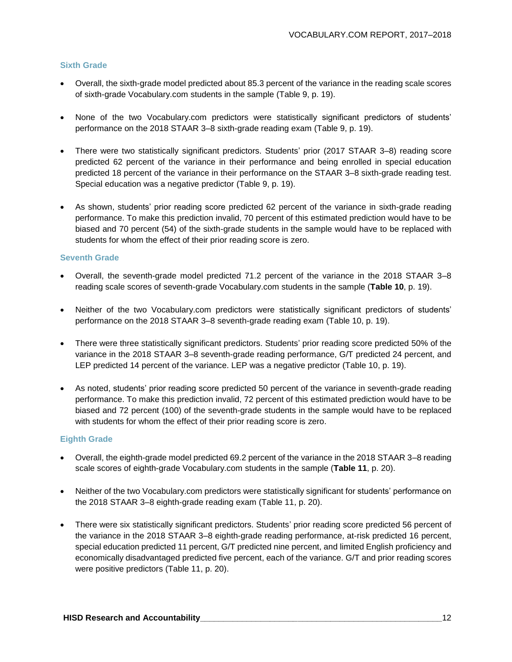#### **Sixth Grade**

- Overall, the sixth-grade model predicted about 85.3 percent of the variance in the reading scale scores of sixth-grade Vocabulary.com students in the sample (Table 9, p. 19).
- None of the two Vocabulary.com predictors were statistically significant predictors of students' performance on the 2018 STAAR 3–8 sixth-grade reading exam (Table 9, p. 19).
- There were two statistically significant predictors. Students' prior (2017 STAAR 3–8) reading score predicted 62 percent of the variance in their performance and being enrolled in special education predicted 18 percent of the variance in their performance on the STAAR 3–8 sixth-grade reading test. Special education was a negative predictor (Table 9, p. 19).
- As shown, students' prior reading score predicted 62 percent of the variance in sixth-grade reading performance. To make this prediction invalid, 70 percent of this estimated prediction would have to be biased and 70 percent (54) of the sixth-grade students in the sample would have to be replaced with students for whom the effect of their prior reading score is zero.

#### **Seventh Grade**

- Overall, the seventh-grade model predicted 71.2 percent of the variance in the 2018 STAAR 3–8 reading scale scores of seventh-grade Vocabulary.com students in the sample (**Table 10**, p. 19).
- Neither of the two Vocabulary.com predictors were statistically significant predictors of students' performance on the 2018 STAAR 3–8 seventh-grade reading exam (Table 10, p. 19).
- There were three statistically significant predictors. Students' prior reading score predicted 50% of the variance in the 2018 STAAR 3–8 seventh-grade reading performance, G/T predicted 24 percent, and LEP predicted 14 percent of the variance. LEP was a negative predictor (Table 10, p. 19).
- As noted, students' prior reading score predicted 50 percent of the variance in seventh-grade reading performance. To make this prediction invalid, 72 percent of this estimated prediction would have to be biased and 72 percent (100) of the seventh-grade students in the sample would have to be replaced with students for whom the effect of their prior reading score is zero.

#### **Eighth Grade**

- Overall, the eighth-grade model predicted 69.2 percent of the variance in the 2018 STAAR 3–8 reading scale scores of eighth-grade Vocabulary.com students in the sample (**Table 11**, p. 20).
- Neither of the two Vocabulary.com predictors were statistically significant for students' performance on the 2018 STAAR 3–8 eighth-grade reading exam (Table 11, p. 20).
- There were six statistically significant predictors. Students' prior reading score predicted 56 percent of the variance in the 2018 STAAR 3–8 eighth-grade reading performance, at-risk predicted 16 percent, special education predicted 11 percent, G/T predicted nine percent, and limited English proficiency and economically disadvantaged predicted five percent, each of the variance. G/T and prior reading scores were positive predictors (Table 11, p. 20).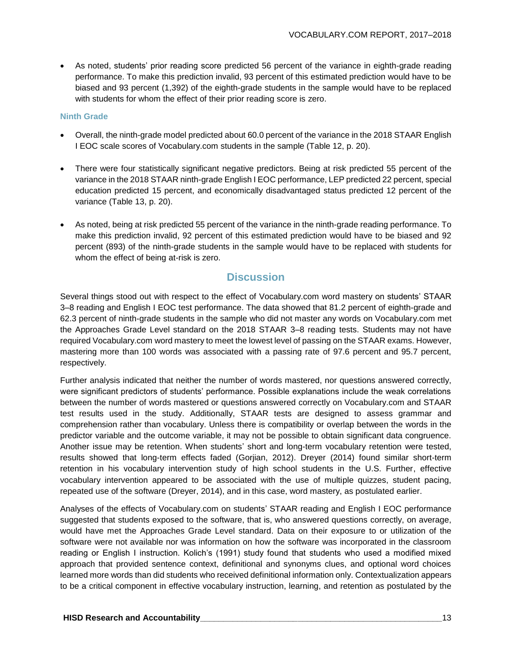• As noted, students' prior reading score predicted 56 percent of the variance in eighth-grade reading performance. To make this prediction invalid, 93 percent of this estimated prediction would have to be biased and 93 percent (1,392) of the eighth-grade students in the sample would have to be replaced with students for whom the effect of their prior reading score is zero.

#### **Ninth Grade**

- Overall, the ninth-grade model predicted about 60.0 percent of the variance in the 2018 STAAR English I EOC scale scores of Vocabulary.com students in the sample (Table 12, p. 20).
- There were four statistically significant negative predictors. Being at risk predicted 55 percent of the variance in the 2018 STAAR ninth-grade English I EOC performance, LEP predicted 22 percent, special education predicted 15 percent, and economically disadvantaged status predicted 12 percent of the variance (Table 13, p. 20).
- As noted, being at risk predicted 55 percent of the variance in the ninth-grade reading performance. To make this prediction invalid, 92 percent of this estimated prediction would have to be biased and 92 percent (893) of the ninth-grade students in the sample would have to be replaced with students for whom the effect of being at-risk is zero.

#### **Discussion**

Several things stood out with respect to the effect of Vocabulary.com word mastery on students' STAAR 3–8 reading and English I EOC test performance. The data showed that 81.2 percent of eighth-grade and 62.3 percent of ninth-grade students in the sample who did not master any words on Vocabulary.com met the Approaches Grade Level standard on the 2018 STAAR 3–8 reading tests. Students may not have required Vocabulary.com word mastery to meet the lowest level of passing on the STAAR exams. However, mastering more than 100 words was associated with a passing rate of 97.6 percent and 95.7 percent, respectively.

Further analysis indicated that neither the number of words mastered, nor questions answered correctly, were significant predictors of students' performance. Possible explanations include the weak correlations between the number of words mastered or questions answered correctly on Vocabulary.com and STAAR test results used in the study. Additionally, STAAR tests are designed to assess grammar and comprehension rather than vocabulary. Unless there is compatibility or overlap between the words in the predictor variable and the outcome variable, it may not be possible to obtain significant data congruence. Another issue may be retention. When students' short and long-term vocabulary retention were tested, results showed that long-term effects faded (Gorjian, 2012). Dreyer (2014) found similar short-term retention in his vocabulary intervention study of high school students in the U.S. Further, effective vocabulary intervention appeared to be associated with the use of multiple quizzes, student pacing, repeated use of the software (Dreyer, 2014), and in this case, word mastery, as postulated earlier.

Analyses of the effects of Vocabulary.com on students' STAAR reading and English I EOC performance suggested that students exposed to the software, that is, who answered questions correctly, on average, would have met the Approaches Grade Level standard. Data on their exposure to or utilization of the software were not available nor was information on how the software was incorporated in the classroom reading or English I instruction. Kolich's (1991) study found that students who used a modified mixed approach that provided sentence context, definitional and synonyms clues, and optional word choices learned more words than did students who received definitional information only. Contextualization appears to be a critical component in effective vocabulary instruction, learning, and retention as postulated by the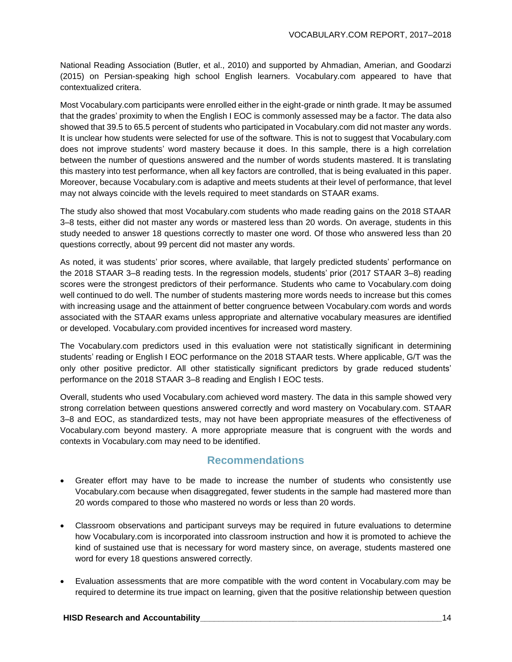National Reading Association (Butler, et al., 2010) and supported by Ahmadian, Amerian, and Goodarzi (2015) on Persian-speaking high school English learners. Vocabulary.com appeared to have that contextualized critera.

Most Vocabulary.com participants were enrolled either in the eight-grade or ninth grade. It may be assumed that the grades' proximity to when the English I EOC is commonly assessed may be a factor. The data also showed that 39.5 to 65.5 percent of students who participated in Vocabulary.com did not master any words. It is unclear how students were selected for use of the software. This is not to suggest that Vocabulary.com does not improve students' word mastery because it does. In this sample, there is a high correlation between the number of questions answered and the number of words students mastered. It is translating this mastery into test performance, when all key factors are controlled, that is being evaluated in this paper. Moreover, because Vocabulary.com is adaptive and meets students at their level of performance, that level may not always coincide with the levels required to meet standards on STAAR exams.

The study also showed that most Vocabulary.com students who made reading gains on the 2018 STAAR 3–8 tests, either did not master any words or mastered less than 20 words. On average, students in this study needed to answer 18 questions correctly to master one word. Of those who answered less than 20 questions correctly, about 99 percent did not master any words.

As noted, it was students' prior scores, where available, that largely predicted students' performance on the 2018 STAAR 3–8 reading tests. In the regression models, students' prior (2017 STAAR 3–8) reading scores were the strongest predictors of their performance. Students who came to Vocabulary.com doing well continued to do well. The number of students mastering more words needs to increase but this comes with increasing usage and the attainment of better congruence between Vocabulary.com words and words associated with the STAAR exams unless appropriate and alternative vocabulary measures are identified or developed. Vocabulary.com provided incentives for increased word mastery.

The Vocabulary.com predictors used in this evaluation were not statistically significant in determining students' reading or English I EOC performance on the 2018 STAAR tests. Where applicable, G/T was the only other positive predictor. All other statistically significant predictors by grade reduced students' performance on the 2018 STAAR 3–8 reading and English I EOC tests.

Overall, students who used Vocabulary.com achieved word mastery. The data in this sample showed very strong correlation between questions answered correctly and word mastery on Vocabulary.com. STAAR 3–8 and EOC, as standardized tests, may not have been appropriate measures of the effectiveness of Vocabulary.com beyond mastery. A more appropriate measure that is congruent with the words and contexts in Vocabulary.com may need to be identified.

#### **Recommendations**

- Greater effort may have to be made to increase the number of students who consistently use Vocabulary.com because when disaggregated, fewer students in the sample had mastered more than 20 words compared to those who mastered no words or less than 20 words.
- Classroom observations and participant surveys may be required in future evaluations to determine how Vocabulary.com is incorporated into classroom instruction and how it is promoted to achieve the kind of sustained use that is necessary for word mastery since, on average, students mastered one word for every 18 questions answered correctly.
- Evaluation assessments that are more compatible with the word content in Vocabulary.com may be required to determine its true impact on learning, given that the positive relationship between question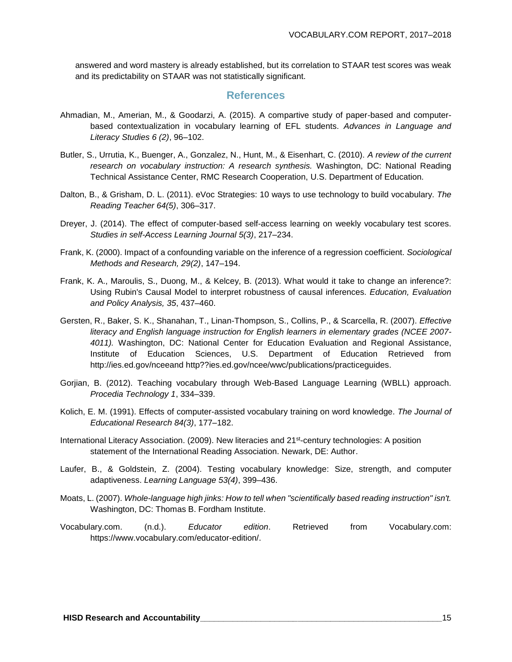answered and word mastery is already established, but its correlation to STAAR test scores was weak and its predictability on STAAR was not statistically significant.

#### **References**

- Ahmadian, M., Amerian, M., & Goodarzi, A. (2015). A compartive study of paper-based and computerbased contextualization in vocabulary learning of EFL students. *Advances in Language and Literacy Studies 6 (2)*, 96–102.
- Butler, S., Urrutia, K., Buenger, A., Gonzalez, N., Hunt, M., & Eisenhart, C. (2010). *A review of the current research on vocabulary instruction: A research synthesis.* Washington, DC: National Reading Technical Assistance Center, RMC Research Cooperation, U.S. Department of Education.
- Dalton, B., & Grisham, D. L. (2011). eVoc Strategies: 10 ways to use technology to build vocabulary. *The Reading Teacher 64(5)*, 306–317.
- Dreyer, J. (2014). The effect of computer-based self-access learning on weekly vocabulary test scores. *Studies in self-Access Learning Journal 5(3)*, 217–234.
- Frank, K. (2000). Impact of a confounding variable on the inference of a regression coefficient. *Sociological Methods and Research, 29(2)*, 147–194.
- Frank, K. A., Maroulis, S., Duong, M., & Kelcey, B. (2013). What would it take to change an inference?: Using Rubin's Causal Model to interpret robustness of causal inferences. *Education, Evaluation and Policy Analysis, 35*, 437–460.
- Gersten, R., Baker, S. K., Shanahan, T., Linan-Thompson, S., Collins, P., & Scarcella, R. (2007). *Effective literacy and English language instruction for English learners in elementary grades (NCEE 2007- 4011).* Washington, DC: National Center for Education Evaluation and Regional Assistance, Institute of Education Sciences, U.S. Department of Education Retrieved from http://ies.ed.gov/nceeand http??ies.ed.gov/ncee/wwc/publications/practiceguides.
- Gorjian, B. (2012). Teaching vocabulary through Web-Based Language Learning (WBLL) approach. *Procedia Technology 1*, 334–339.
- Kolich, E. M. (1991). Effects of computer-assisted vocabulary training on word knowledge. *The Journal of Educational Research 84(3)*, 177–182.
- International Literacy Association. (2009). New literacies and 21<sup>st</sup>-century technologies: A position statement of the International Reading Association. Newark, DE: Author.
- Laufer, B., & Goldstein, Z. (2004). Testing vocabulary knowledge: Size, strength, and computer adaptiveness. *Learning Language 53(4)*, 399–436.
- Moats, L. (2007). *Whole-language high jinks: How to tell when "scientifically based reading instruction" isn't.* Washington, DC: Thomas B. Fordham Institute.
- Vocabulary.com. (n.d.). *Educator edition*. Retrieved from Vocabulary.com: https://www.vocabulary.com/educator-edition/.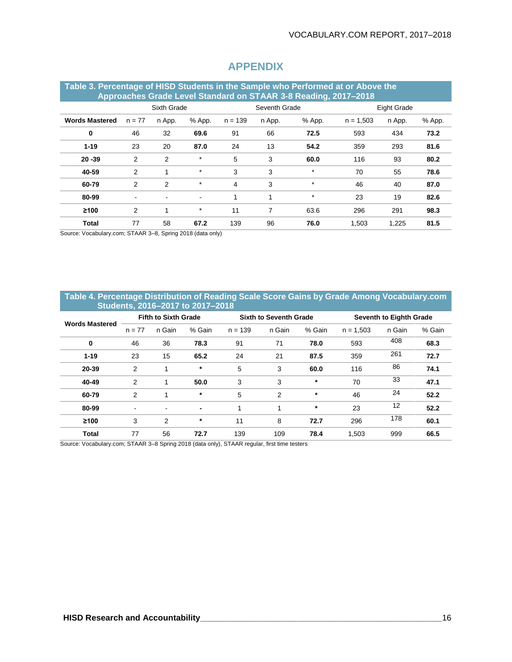| Table 3. Percentage of HISD Students in the Sample who Performed at or Above the<br>Approaches Grade Level Standard on STAAR 3-8 Reading, 2017-2018 |                          |                |                |           |               |         |             |             |        |  |
|-----------------------------------------------------------------------------------------------------------------------------------------------------|--------------------------|----------------|----------------|-----------|---------------|---------|-------------|-------------|--------|--|
|                                                                                                                                                     | Sixth Grade              |                |                |           | Seventh Grade |         |             | Eight Grade |        |  |
| <b>Words Mastered</b>                                                                                                                               | $n = 77$                 | n App.         | % App.         | $n = 139$ | n App.        | % App.  | $n = 1.503$ | n App.      | % App. |  |
| 0                                                                                                                                                   | 46                       | 32             | 69.6           | 91        | 66            | 72.5    | 593         | 434         | 73.2   |  |
| $1 - 19$                                                                                                                                            | 23                       | 20             | 87.0           | 24        | 13            | 54.2    | 359         | 293         | 81.6   |  |
| $20 - 39$                                                                                                                                           | 2                        | $\overline{2}$ | $\star$        | 5         | 3             | 60.0    | 116         | 93          | 80.2   |  |
| 40-59                                                                                                                                               | 2                        |                | $\star$        | 3         | 3             | $\star$ | 70          | 55          | 78.6   |  |
| 60-79                                                                                                                                               | 2                        | $\overline{2}$ | $\star$        | 4         | 3             | $\star$ | 46          | 40          | 87.0   |  |
| 80-99                                                                                                                                               | $\overline{\phantom{a}}$ | $\blacksquare$ | $\blacksquare$ | 1         | 1             | $\star$ | 23          | 19          | 82.6   |  |
| ≥100                                                                                                                                                | 2                        |                | $\ast$         | 11        | 7             | 63.6    | 296         | 291         | 98.3   |  |
| <b>Total</b>                                                                                                                                        | 77                       | 58             | 67.2           | 139       | 96            | 76.0    | 1.503       | 1.225       | 81.5   |  |

#### **APPENDIX**

Source: Vocabulary.com; STAAR 3–8, Spring 2018 (data only)

#### **Table 4. Percentage Distribution of Reading Scale Score Gains by Grade Among Vocabulary.com Students, 2016–2017 to 2017–2018**

| <b>Words Mastered</b> | <b>Fifth to Sixth Grade</b> |                |                |           | <b>Sixth to Seventh Grade</b> |        |             | Seventh to Eighth Grade |        |  |
|-----------------------|-----------------------------|----------------|----------------|-----------|-------------------------------|--------|-------------|-------------------------|--------|--|
|                       | $n = 77$                    | n Gain         | % Gain         | $n = 139$ | n Gain                        | % Gain | $n = 1,503$ | n Gain                  | % Gain |  |
| $\mathbf 0$           | 46                          | 36             | 78.3           | 91        | 71                            | 78.0   | 593         | 408                     | 68.3   |  |
| $1 - 19$              | 23                          | 15             | 65.2           | 24        | 21                            | 87.5   | 359         | 261                     | 72.7   |  |
| 20-39                 | 2                           |                | $\ast$         | 5         | 3                             | 60.0   | 116         | 86                      | 74.1   |  |
| 40-49                 | 2                           |                | 50.0           | 3         | 3                             | $\ast$ | 70          | 33                      | 47.1   |  |
| 60-79                 | 2                           |                | $\ast$         | 5         | 2                             | $\ast$ | 46          | 24                      | 52.2   |  |
| 80-99                 | $\blacksquare$              | $\blacksquare$ | $\blacksquare$ | 1         |                               | $\ast$ | 23          | 12                      | 52.2   |  |
| $\geq 100$            | 3                           | 2              | $\ast$         | 11        | 8                             | 72.7   | 296         | 178                     | 60.1   |  |
| <b>Total</b>          | 77                          | 56             | 72.7           | 139       | 109                           | 78.4   | 1,503       | 999                     | 66.5   |  |
|                       |                             |                |                |           |                               |        |             |                         |        |  |

Source: Vocabulary.com; STAAR 3–8 Spring 2018 (data only), STAAR regular, first time testers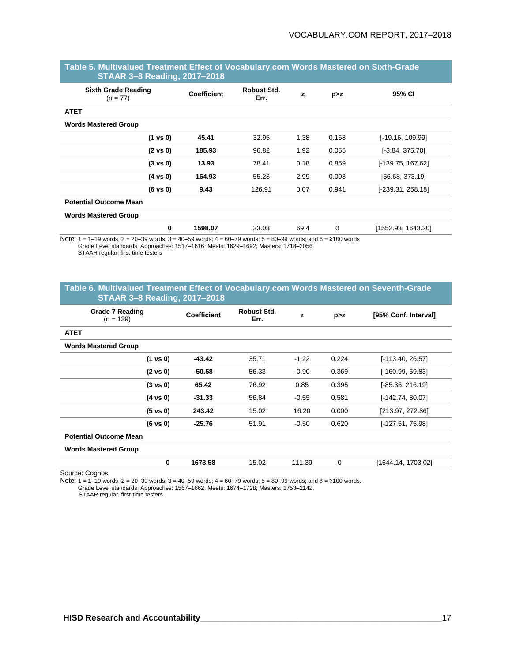| STAAR 3-8 Reading, 2017-2018             |                    |                            |      |       |                     |
|------------------------------------------|--------------------|----------------------------|------|-------|---------------------|
| <b>Sixth Grade Reading</b><br>$(n = 77)$ | <b>Coefficient</b> | <b>Robust Std.</b><br>Err. | z    | p > z | 95% CI              |
| <b>ATET</b>                              |                    |                            |      |       |                     |
| <b>Words Mastered Group</b>              |                    |                            |      |       |                     |
| $(1 \text{ vs } 0)$                      | 45.41              | 32.95                      | 1.38 | 0.168 | $[-19.16, 109.99]$  |
| $(2 \text{ vs } 0)$                      | 185.93             | 96.82                      | 1.92 | 0.055 | $[-3.84, 375.70]$   |
| $(3 \text{ vs } 0)$                      | 13.93              | 78.41                      | 0.18 | 0.859 | $[-139.75, 167.62]$ |
| $(4 \text{ vs } 0)$                      | 164.93             | 55.23                      | 2.99 | 0.003 | [56.68, 373.19]     |
| $(6 \text{ vs } 0)$                      | 9.43               | 126.91                     | 0.07 | 0.941 | $[-239.31, 258.18]$ |
| <b>Potential Outcome Mean</b>            |                    |                            |      |       |                     |
| <b>Words Mastered Group</b>              |                    |                            |      |       |                     |
| 0                                        | 1598.07            | 23.03                      | 69.4 | 0     | [1552.93, 1643.20]  |

#### **Table 5. Multivalued Treatment Effect of Vocabulary.com Words Mastered on Sixth-Grade STAAR 3–8 Reading, 2017–2018**

Note: 1 = 1–19 words, 2 = 20–39 words; 3 = 40–59 words; 4 = 60–79 words; 5 = 80–99 words; and 6 = ≥100 words Grade Level standards: Approaches: 1517–1616; Meets: 1629–1692; Masters: 1718–2056. STAAR regular, first-time testers

#### **Table 6. Multivalued Treatment Effect of Vocabulary.com Words Mastered on Seventh-Grade STAAR 3–8 Reading, 2017–2018**

| <b>Grade 7 Reading</b><br>$(n = 139)$ | Coefficient | <b>Robust Std.</b><br>Err. | z       | p > z | [95% Conf. Interval] |
|---------------------------------------|-------------|----------------------------|---------|-------|----------------------|
| <b>ATET</b>                           |             |                            |         |       |                      |
| <b>Words Mastered Group</b>           |             |                            |         |       |                      |
| $(1 \text{ vs } 0)$                   | $-43.42$    | 35.71                      | $-1.22$ | 0.224 | $[-113.40, 26.57]$   |
| $(2 \text{ vs } 0)$                   | $-50.58$    | 56.33                      | $-0.90$ | 0.369 | [-160.99, 59.83]     |
| $(3 \text{ vs } 0)$                   | 65.42       | 76.92                      | 0.85    | 0.395 | [-85.35, 216.19]     |
| $(4 \text{ vs } 0)$                   | $-31.33$    | 56.84                      | $-0.55$ | 0.581 | [-142.74, 80.07]     |
| $(5 \text{ vs } 0)$                   | 243.42      | 15.02                      | 16.20   | 0.000 | [213.97, 272.86]     |
| $(6 \text{ vs } 0)$                   | $-25.76$    | 51.91                      | $-0.50$ | 0.620 | [-127.51, 75.98]     |
| <b>Potential Outcome Mean</b>         |             |                            |         |       |                      |
| <b>Words Mastered Group</b>           |             |                            |         |       |                      |
| 0                                     | 1673.58     | 15.02                      | 111.39  | 0     | [1644.14, 1703.02]   |

Source: Cognos

Note: 1 = 1–19 words, 2 = 20–39 words; 3 = 40–59 words; 4 = 60–79 words; 5 = 80–99 words; and 6 = ≥100 words.

Grade Level standards: Approaches: 1567–1662; Meets: 1674–1728; Masters: 1753–2142.

STAAR regular, first-time testers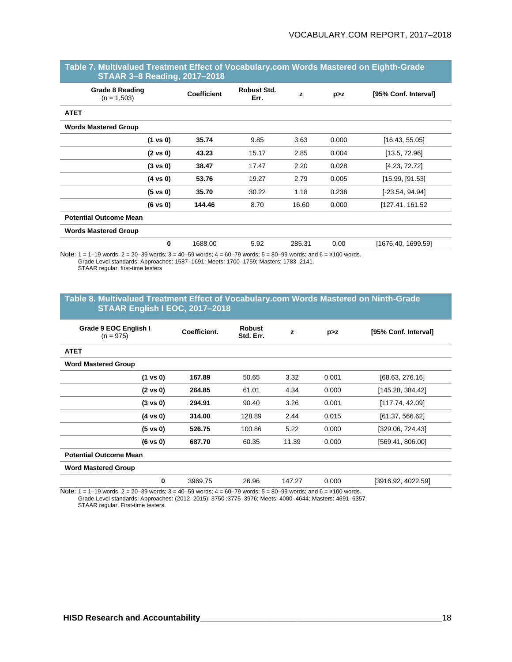| <b>Grade 8 Reading</b><br>$(n = 1,503)$ | <b>Coefficient</b> | Robust Std.<br>Err. | z      | p > z | [95% Conf. Interval] |
|-----------------------------------------|--------------------|---------------------|--------|-------|----------------------|
| <b>ATET</b>                             |                    |                     |        |       |                      |
| <b>Words Mastered Group</b>             |                    |                     |        |       |                      |
| $(1 \text{ vs } 0)$                     | 35.74              | 9.85                | 3.63   | 0.000 | [16.43, 55.05]       |
| $(2 \text{ vs } 0)$                     | 43.23              | 15.17               | 2.85   | 0.004 | [13.5, 72.96]        |
| $(3 \text{ vs } 0)$                     | 38.47              | 17.47               | 2.20   | 0.028 | [4.23, 72.72]        |
| $(4 \text{ vs } 0)$                     | 53.76              | 19.27               | 2.79   | 0.005 | [15.99, [91.53]      |
| $(5 \text{ vs } 0)$                     | 35.70              | 30.22               | 1.18   | 0.238 | $[-23.54, 94.94]$    |
| $(6 \text{ vs } 0)$                     | 144.46             | 8.70                | 16.60  | 0.000 | [127.41, 161.52]     |
| <b>Potential Outcome Mean</b>           |                    |                     |        |       |                      |
| <b>Words Mastered Group</b>             |                    |                     |        |       |                      |
| $\bf{0}$                                | 1688.00            | 5.92                | 285.31 | 0.00  | [1676.40, 1699.59]   |

#### **Table 7. Multivalued Treatment Effect of Vocabulary.com Words Mastered on Eighth-Grade STAAR 3–8 Reading, 2017–2018**

Note: 1 = 1–19 words, 2 = 20–39 words; 3 = 40–59 words; 4 = 60–79 words; 5 = 80–99 words; and 6 = ≥100 words. Grade Level standards: Approaches: 1587–1691; Meets: 1700–1759; Masters: 1783–2141. STAAR regular, first-time testers

#### **Table 8. Multivalued Treatment Effect of Vocabulary.com Words Mastered on Ninth-Grade STAAR English I EOC, 2017–2018**

| Grade 9 EOC English I<br>$(n = 975)$ | Coefficient. | <b>Robust</b><br>Std. Err. | z      | p > z | [95% Conf. Interval] |  |  |  |
|--------------------------------------|--------------|----------------------------|--------|-------|----------------------|--|--|--|
| <b>ATET</b>                          |              |                            |        |       |                      |  |  |  |
| <b>Word Mastered Group</b>           |              |                            |        |       |                      |  |  |  |
| $(1 \text{ vs } 0)$                  | 167.89       | 50.65                      | 3.32   | 0.001 | [68.63, 276.16]      |  |  |  |
| $(2 \text{ vs } 0)$                  | 264.85       | 61.01                      | 4.34   | 0.000 | [145.28, 384.42]     |  |  |  |
| $(3 \text{ vs } 0)$                  | 294.91       | 90.40                      | 3.26   | 0.001 | [117.74, 42.09]      |  |  |  |
| $(4 \text{ vs } 0)$                  | 314.00       | 128.89                     | 2.44   | 0.015 | [61.37, 566.62]      |  |  |  |
| $(5 \text{ vs } 0)$                  | 526.75       | 100.86                     | 5.22   | 0.000 | [329.06, 724.43]     |  |  |  |
| $(6 \text{ vs } 0)$                  | 687.70       | 60.35                      | 11.39  | 0.000 | [569.41, 806.00]     |  |  |  |
| <b>Potential Outcome Mean</b>        |              |                            |        |       |                      |  |  |  |
| <b>Word Mastered Group</b>           |              |                            |        |       |                      |  |  |  |
| 0                                    | 3969.75      | 26.96                      | 147.27 | 0.000 | [3916.92, 4022.59]   |  |  |  |

Note:  $1 = 1-19$  words,  $2 = 20-39$  words;  $3 = 40-59$  words;  $4 = 60-79$  words;  $5 = 80-99$  words; and  $6 = ≥100$  words. Grade Level standards: Approaches: (2012–2015): 3750 ;3775–3976; Meets: 4000–4644; Masters: 4691–6357.

STAAR regular, First-time testers.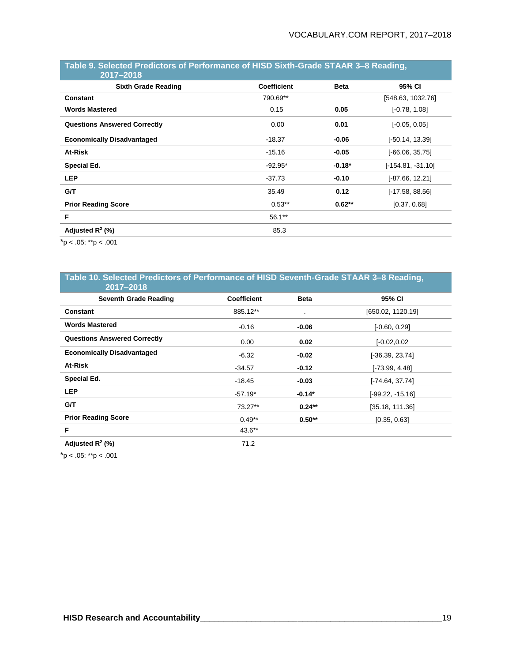#### **Table 9. Selected Predictors of Performance of HISD Sixth-Grade STAAR 3–8 Reading, 2017–2018**

| $2011 - 2010$                       |                    |             |                     |
|-------------------------------------|--------------------|-------------|---------------------|
| <b>Sixth Grade Reading</b>          | <b>Coefficient</b> | <b>Beta</b> | 95% CI              |
| <b>Constant</b>                     | 790.69**           |             | [548.63, 1032.76]   |
| <b>Words Mastered</b>               | 0.15               | 0.05        | $[-0.78, 1.08]$     |
| <b>Questions Answered Correctly</b> | 0.00               | 0.01        | $[-0.05, 0.05]$     |
| <b>Economically Disadvantaged</b>   | $-18.37$           | $-0.06$     | [-50.14, 13.39]     |
| At-Risk                             | $-15.16$           | $-0.05$     | $[-66.06, 35.75]$   |
| Special Ed.                         | $-92.95*$          | $-0.18*$    | $[-154.81, -31.10]$ |
| <b>LEP</b>                          | $-37.73$           | $-0.10$     | $[-87.66, 12.21]$   |
| G/T                                 | 35.49              | 0.12        | [-17.58, 88.56]     |
| <b>Prior Reading Score</b>          | $0.53**$           | $0.62**$    | [0.37, 0.68]        |
| F                                   | $56.1**$           |             |                     |
| Adjusted $R^2$ (%)                  | 85.3               |             |                     |
|                                     |                    |             |                     |

 $*$ p < .05;  $*$  $*$ p < .001

#### **Table 10. Selected Predictors of Performance of HISD Seventh-Grade STAAR 3–8 Reading, 2017–2018**

| <u>LVII LVIV</u>                    |                    |                |                   |
|-------------------------------------|--------------------|----------------|-------------------|
| <b>Seventh Grade Reading</b>        | <b>Coefficient</b> | <b>Beta</b>    | 95% CI            |
| <b>Constant</b>                     | 885.12**           | $\blacksquare$ | [650.02, 1120.19] |
| <b>Words Mastered</b>               | $-0.16$            | -0.06          | $[-0.60, 0.29]$   |
| <b>Questions Answered Correctly</b> | 0.00               | 0.02           | $[-0.02, 0.02]$   |
| <b>Economically Disadvantaged</b>   | -6.32              | $-0.02$        | $-36.39, 23.74$   |
| At-Risk                             | $-34.57$           | $-0.12$        | [-73.99, 4.48]    |
| Special Ed.                         | -18.45             | $-0.03$        | [-74.64, 37.74]   |
| <b>LEP</b>                          | $-57.19*$          | $-0.14*$       | [-99.22, -15.16]  |
| G/T                                 | 73.27**            | $0.24**$       | [35.18, 111.36]   |
| <b>Prior Reading Score</b>          | $0.49**$           | $0.50**$       | [0.35, 0.63]      |
| F                                   | 43.6**             |                |                   |
| Adjusted $R^2$ (%)                  | 71.2               |                |                   |
|                                     |                    |                |                   |

 $*$ p < .05;  $*$  $*$ p < .001